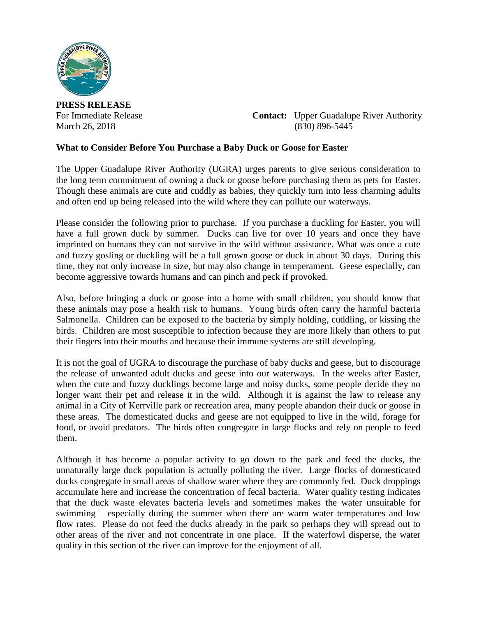

**PRESS RELEASE**

For Immediate Release **Contact:** Upper Guadalupe River Authority March 26, 2018 (830) 896-5445

## **What to Consider Before You Purchase a Baby Duck or Goose for Easter**

The Upper Guadalupe River Authority (UGRA) urges parents to give serious consideration to the long term commitment of owning a duck or goose before purchasing them as pets for Easter. Though these animals are cute and cuddly as babies, they quickly turn into less charming adults and often end up being released into the wild where they can pollute our waterways.

Please consider the following prior to purchase. If you purchase a duckling for Easter, you will have a full grown duck by summer. Ducks can live for over 10 years and once they have imprinted on humans they can not survive in the wild without assistance. What was once a cute and fuzzy gosling or duckling will be a full grown goose or duck in about 30 days. During this time, they not only increase in size, but may also change in temperament. Geese especially, can become aggressive towards humans and can pinch and peck if provoked.

Also, before bringing a duck or goose into a home with small children, you should know that these animals may pose a health risk to humans. Young birds often carry the harmful bacteria Salmonella. Children can be exposed to the bacteria by simply holding, cuddling, or kissing the birds. Children are most susceptible to infection because they are more likely than others to put their fingers into their mouths and because their immune systems are still developing.

It is not the goal of UGRA to discourage the purchase of baby ducks and geese, but to discourage the release of unwanted adult ducks and geese into our waterways. In the weeks after Easter, when the cute and fuzzy ducklings become large and noisy ducks, some people decide they no longer want their pet and release it in the wild. Although it is against the law to release any animal in a City of Kerrville park or recreation area, many people abandon their duck or goose in these areas. The domesticated ducks and geese are not equipped to live in the wild, forage for food, or avoid predators. The birds often congregate in large flocks and rely on people to feed them.

Although it has become a popular activity to go down to the park and feed the ducks, the unnaturally large duck population is actually polluting the river. Large flocks of domesticated ducks congregate in small areas of shallow water where they are commonly fed. Duck droppings accumulate here and increase the concentration of fecal bacteria. Water quality testing indicates that the duck waste elevates bacteria levels and sometimes makes the water unsuitable for swimming – especially during the summer when there are warm water temperatures and low flow rates. Please do not feed the ducks already in the park so perhaps they will spread out to other areas of the river and not concentrate in one place. If the waterfowl disperse, the water quality in this section of the river can improve for the enjoyment of all.